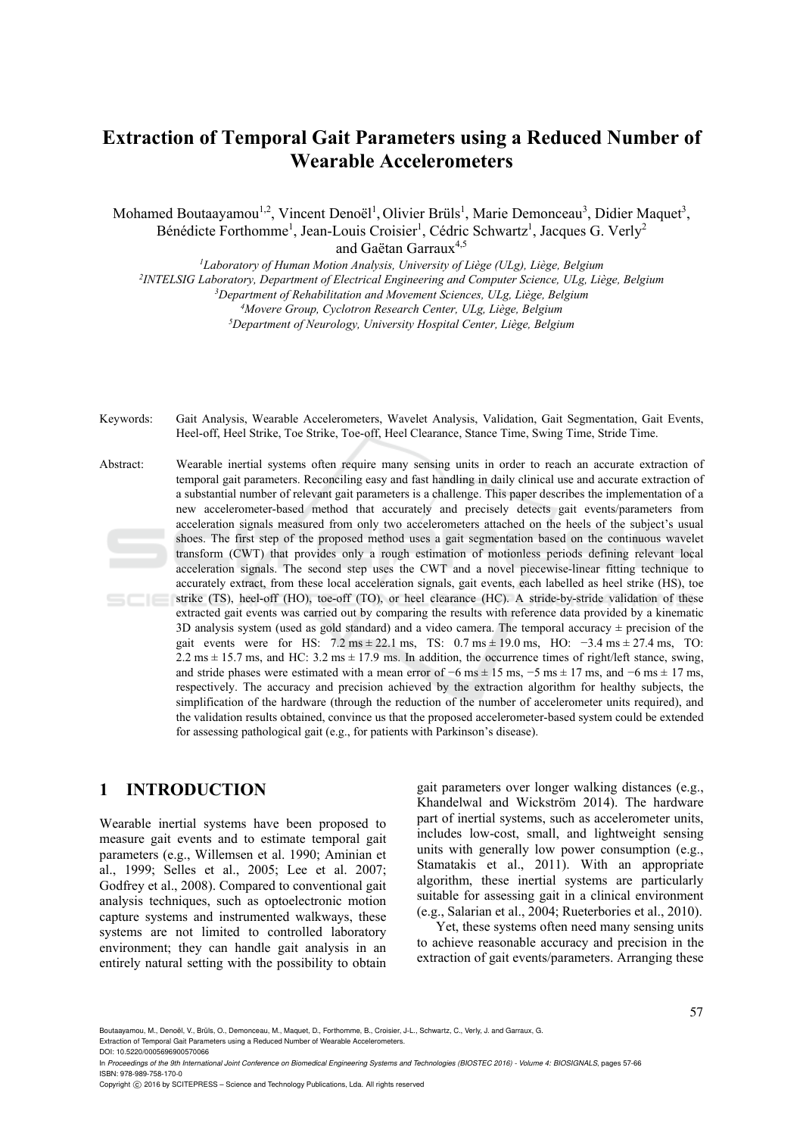# **Extraction of Temporal Gait Parameters using a Reduced Number of Wearable Accelerometers**

Mohamed Boutaayamou<sup>1,2</sup>, Vincent Denoël<sup>1</sup>, Olivier Brüls<sup>1</sup>, Marie Demonceau<sup>3</sup>, Didier Maquet<sup>3</sup>, Bénédicte Forthomme<sup>1</sup>, Jean-Louis Croisier<sup>1</sup>, Cédric Schwartz<sup>1</sup>, Jacques G. Verly<sup>2</sup>

and Gaëtan Garraux<sup>4,5</sup>

<sup>1</sup>Laboratory of Human Motion Analysis, University of Liège (ULg), Liège, Belgium<br><sup>2</sup>INTELSIG Laboratory, Department of Electrical Engineering and Computer Science, ULg, Liège, Belgium<sup>3</sup>Department of Rehabilitation and Mo

Keywords: Gait Analysis, Wearable Accelerometers, Wavelet Analysis, Validation, Gait Segmentation, Gait Events, Heel-off, Heel Strike, Toe Strike, Toe-off, Heel Clearance, Stance Time, Swing Time, Stride Time.

Abstract: Wearable inertial systems often require many sensing units in order to reach an accurate extraction of temporal gait parameters. Reconciling easy and fast handling in daily clinical use and accurate extraction of a substantial number of relevant gait parameters is a challenge. This paper describes the implementation of a new accelerometer-based method that accurately and precisely detects gait events/parameters from acceleration signals measured from only two accelerometers attached on the heels of the subject's usual shoes. The first step of the proposed method uses a gait segmentation based on the continuous wavelet transform (CWT) that provides only a rough estimation of motionless periods defining relevant local acceleration signals. The second step uses the CWT and a novel piecewise-linear fitting technique to accurately extract, from these local acceleration signals, gait events, each labelled as heel strike (HS), toe strike (TS), heel-off (HO), toe-off (TO), or heel clearance (HC). A stride-by-stride validation of these extracted gait events was carried out by comparing the results with reference data provided by a kinematic 3D analysis system (used as gold standard) and a video camera. The temporal accuracy  $\pm$  precision of the gait events were for HS:  $7.2 \text{ ms} \pm 22.1 \text{ ms}$ , TS:  $0.7 \text{ ms} \pm 19.0 \text{ ms}$ , HO:  $-3.4 \text{ ms} \pm 27.4 \text{ ms}$ , TO: 2.2 ms  $\pm$  15.7 ms, and HC: 3.2 ms  $\pm$  17.9 ms. In addition, the occurrence times of right/left stance, swing, and stride phases were estimated with a mean error of  $-6$  ms  $\pm$  15 ms,  $-5$  ms  $\pm$  17 ms, and  $-6$  ms  $\pm$  17 ms, respectively. The accuracy and precision achieved by the extraction algorithm for healthy subjects, the simplification of the hardware (through the reduction of the number of accelerometer units required), and the validation results obtained, convince us that the proposed accelerometer-based system could be extended for assessing pathological gait (e.g., for patients with Parkinson's disease).

## **1 INTRODUCTION**

Wearable inertial systems have been proposed to measure gait events and to estimate temporal gait parameters (e.g., Willemsen et al. 1990; Aminian et al., 1999; Selles et al., 2005; Lee et al. 2007; Godfrey et al., 2008). Compared to conventional gait analysis techniques, such as optoelectronic motion capture systems and instrumented walkways, these systems are not limited to controlled laboratory environment; they can handle gait analysis in an entirely natural setting with the possibility to obtain

gait parameters over longer walking distances (e.g., Khandelwal and Wickström 2014). The hardware part of inertial systems, such as accelerometer units, includes low-cost, small, and lightweight sensing units with generally low power consumption (e.g., Stamatakis et al., 2011). With an appropriate algorithm, these inertial systems are particularly suitable for assessing gait in a clinical environment (e.g., Salarian et al., 2004; Rueterbories et al., 2010).

Yet, these systems often need many sensing units to achieve reasonable accuracy and precision in the extraction of gait events/parameters. Arranging these

Boutaayamou, M., Denoël, V., Brüls, O., Demonceau, M., Maquet, D., Forthomme, B., Croisier, J-L., Schwartz, C., Verly, J. and Garraux, G. Extraction of Temporal Gait Parameters using a Reduced Number of Wearable Accelerometers. DOI: 10.5220/0005696900570066

In *Proceedings of the 9th International Joint Conference on Biomedical Engineering Systems and Technologies (BIOSTEC 2016) - Volume 4: BIOSIGNALS*, pages 57-66 ISBN: 978-989-758-170-0

Copyright C 2016 by SCITEPRESS – Science and Technology Publications, Lda. All rights reserved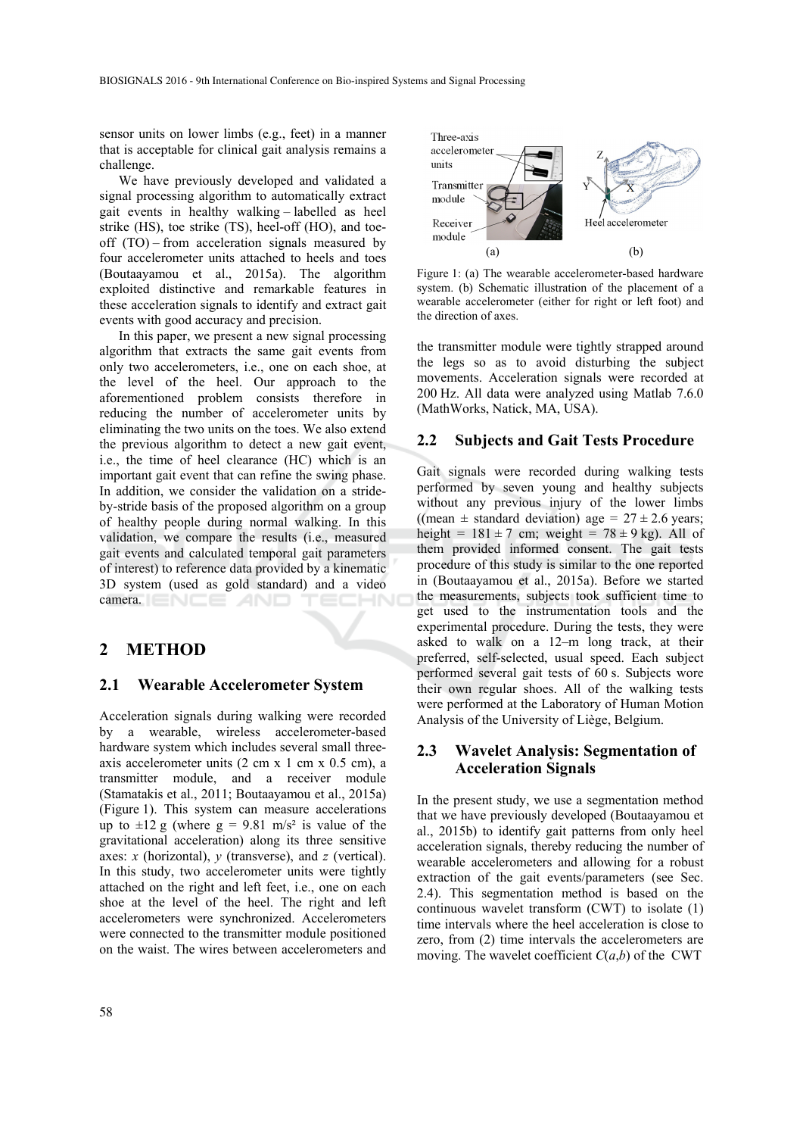sensor units on lower limbs (e.g., feet) in a manner that is acceptable for clinical gait analysis remains a challenge.

We have previously developed and validated a signal processing algorithm to automatically extract gait events in healthy walking – labelled as heel strike (HS), toe strike (TS), heel-off (HO), and toeoff (TO) – from acceleration signals measured by four accelerometer units attached to heels and toes (Boutaayamou et al., 2015a). The algorithm exploited distinctive and remarkable features in these acceleration signals to identify and extract gait events with good accuracy and precision.

In this paper, we present a new signal processing algorithm that extracts the same gait events from only two accelerometers, i.e., one on each shoe, at the level of the heel. Our approach to the aforementioned problem consists therefore in reducing the number of accelerometer units by eliminating the two units on the toes. We also extend the previous algorithm to detect a new gait event, i.e., the time of heel clearance (HC) which is an important gait event that can refine the swing phase. In addition, we consider the validation on a strideby-stride basis of the proposed algorithm on a group of healthy people during normal walking. In this validation, we compare the results (i.e., measured gait events and calculated temporal gait parameters of interest) to reference data provided by a kinematic 3D system (used as gold standard) and a video camera. ENEE AND HNI

### **2 METHOD**

#### **2.1 Wearable Accelerometer System**

Acceleration signals during walking were recorded by a wearable, wireless accelerometer-based hardware system which includes several small threeaxis accelerometer units (2 cm x 1 cm x 0.5 cm), a transmitter module, and a receiver module (Stamatakis et al., 2011; Boutaayamou et al., 2015a) (Figure 1). This system can measure accelerations up to  $\pm 12$  g (where g = 9.81 m/s<sup>2</sup> is value of the gravitational acceleration) along its three sensitive axes: *x* (horizontal), *y* (transverse), and *z* (vertical). In this study, two accelerometer units were tightly attached on the right and left feet, i.e., one on each shoe at the level of the heel. The right and left accelerometers were synchronized. Accelerometers were connected to the transmitter module positioned on the waist. The wires between accelerometers and



Figure 1: (a) The wearable accelerometer-based hardware system. (b) Schematic illustration of the placement of a wearable accelerometer (either for right or left foot) and the direction of axes.

the transmitter module were tightly strapped around the legs so as to avoid disturbing the subject movements. Acceleration signals were recorded at 200 Hz. All data were analyzed using Matlab 7.6.0 (MathWorks, Natick, MA, USA).

### **2.2 Subjects and Gait Tests Procedure**

Gait signals were recorded during walking tests performed by seven young and healthy subjects without any previous injury of the lower limbs ((mean  $\pm$  standard deviation) age = 27  $\pm$  2.6 years; height =  $181 \pm 7$  cm; weight =  $78 \pm 9$  kg). All of them provided informed consent. The gait tests procedure of this study is similar to the one reported in (Boutaayamou et al., 2015a). Before we started the measurements, subjects took sufficient time to get used to the instrumentation tools and the experimental procedure. During the tests, they were asked to walk on a 12–m long track, at their preferred, self-selected, usual speed. Each subject performed several gait tests of 60 s. Subjects wore their own regular shoes. All of the walking tests were performed at the Laboratory of Human Motion Analysis of the University of Liège, Belgium.

### **2.3 Wavelet Analysis: Segmentation of Acceleration Signals**

In the present study, we use a segmentation method that we have previously developed (Boutaayamou et al., 2015b) to identify gait patterns from only heel acceleration signals, thereby reducing the number of wearable accelerometers and allowing for a robust extraction of the gait events/parameters (see Sec. 2.4). This segmentation method is based on the continuous wavelet transform (CWT) to isolate (1) time intervals where the heel acceleration is close to zero, from (2) time intervals the accelerometers are moving. The wavelet coefficient  $C(a,b)$  of the CWT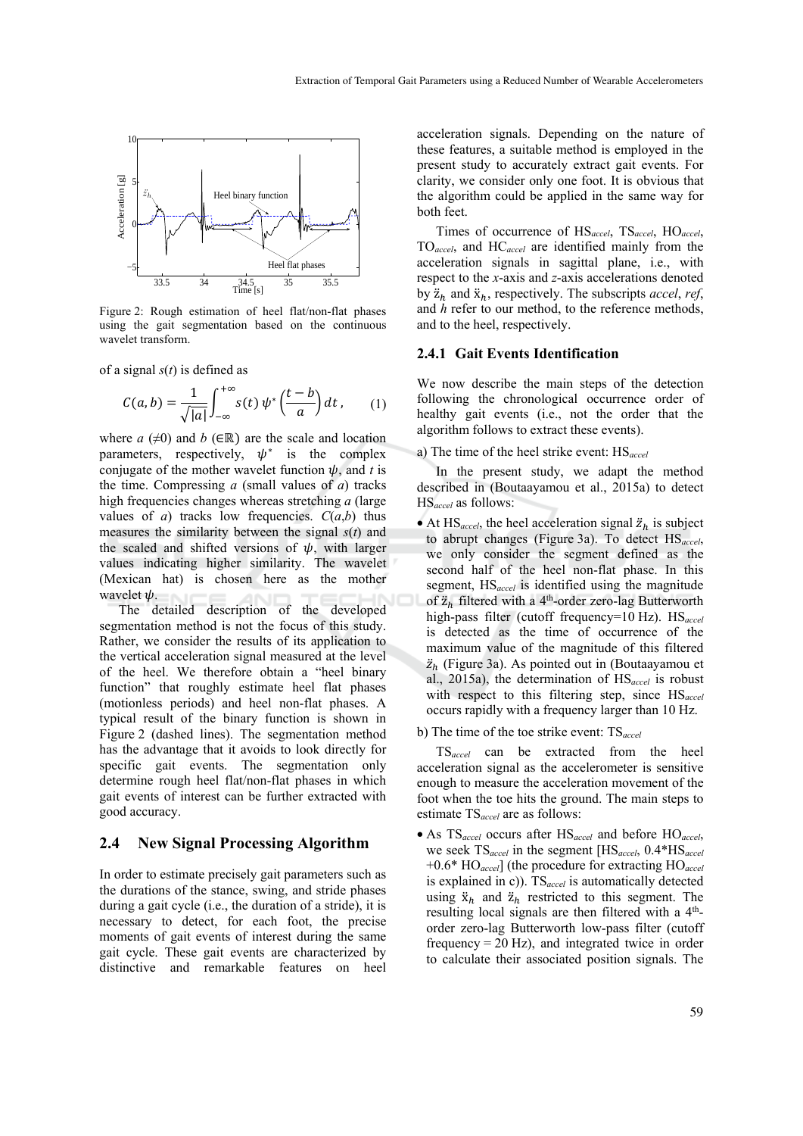

Figure 2: Rough estimation of heel flat/non-flat phases using the gait segmentation based on the continuous wavelet transform.

of a signal *s*(*t*) is defined as

$$
C(a,b) = \frac{1}{\sqrt{|a|}} \int_{-\infty}^{+\infty} s(t) \psi^* \left(\frac{t-b}{a}\right) dt, \qquad (1)
$$

where  $a \neq 0$  and  $b \in \mathbb{R}$  are the scale and location parameters, respectively,  $\psi^*$  is the complex conjugate of the mother wavelet function  $\psi$ , and *t* is the time. Compressing *a* (small values of *a*) tracks high frequencies changes whereas stretching *a* (large values of *a*) tracks low frequencies.  $C(a,b)$  thus measures the similarity between the signal *s*(*t*) and the scaled and shifted versions of  $\psi$ , with larger values indicating higher similarity. The wavelet (Mexican hat) is chosen here as the mother wavelet  $\psi$ .

The detailed description of the developed segmentation method is not the focus of this study. Rather, we consider the results of its application to the vertical acceleration signal measured at the level of the heel. We therefore obtain a "heel binary function" that roughly estimate heel flat phases (motionless periods) and heel non-flat phases. A typical result of the binary function is shown in Figure 2 (dashed lines). The segmentation method has the advantage that it avoids to look directly for specific gait events. The segmentation only determine rough heel flat/non-flat phases in which gait events of interest can be further extracted with good accuracy.

#### **2.4 New Signal Processing Algorithm**

In order to estimate precisely gait parameters such as the durations of the stance, swing, and stride phases during a gait cycle (i.e., the duration of a stride), it is necessary to detect, for each foot, the precise moments of gait events of interest during the same gait cycle. These gait events are characterized by distinctive and remarkable features on heel

acceleration signals. Depending on the nature of these features, a suitable method is employed in the present study to accurately extract gait events. For clarity, we consider only one foot. It is obvious that the algorithm could be applied in the same way for both feet.

Times of occurrence of HS*accel*, TS*accel*, HO*accel*, TO*accel*, and HC*accel* are identified mainly from the acceleration signals in sagittal plane, i.e., with respect to the *x*-axis and *z*-axis accelerations denoted by  $\ddot{z}_h$  and  $\ddot{x}_h$ , respectively. The subscripts *accel*, *ref*, and *h* refer to our method, to the reference methods, and to the heel, respectively.

#### **2.4.1 Gait Events Identification**

We now describe the main steps of the detection following the chronological occurrence order of healthy gait events (i.e., not the order that the algorithm follows to extract these events).

a) The time of the heel strike event: HS*accel*

In the present study, we adapt the method described in (Boutaayamou et al., 2015a) to detect HS*accel* as follows:

• At  $\text{HS}_{\text{accel}}$ , the heel acceleration signal  $\ddot{z}_h$  is subject to abrupt changes (Figure 3a). To detect HS*accel*, we only consider the segment defined as the second half of the heel non-flat phase. In this segment, HS*accel* is identified using the magnitude of  $\ddot{z}_h$  filtered with a 4<sup>th</sup>-order zero-lag Butterworth high-pass filter (cutoff frequency=10 Hz). HS*accel* is detected as the time of occurrence of the maximum value of the magnitude of this filtered  $\ddot{z}_h$  (Figure 3a). As pointed out in (Boutaayamou et al., 2015a), the determination of HS*accel* is robust with respect to this filtering step, since HS*accel* occurs rapidly with a frequency larger than 10 Hz.

#### b) The time of the toe strike event: TS*accel*

TS*accel* can be extracted from the heel acceleration signal as the accelerometer is sensitive enough to measure the acceleration movement of the foot when the toe hits the ground. The main steps to estimate TS*accel* are as follows:

• As TS*accel* occurs after HS*accel* and before HO*accel*, we seek TS*accel* in the segment [HS*accel*, 0.4\*HS*accel*  +0.6\* HO*accel*] (the procedure for extracting HO*accel* is explained in c)). TS*accel* is automatically detected using  $\ddot{x}_h$  and  $\ddot{z}_h$  restricted to this segment. The resulting local signals are then filtered with a 4<sup>th</sup>order zero-lag Butterworth low-pass filter (cutoff frequency  $= 20$  Hz), and integrated twice in order to calculate their associated position signals. The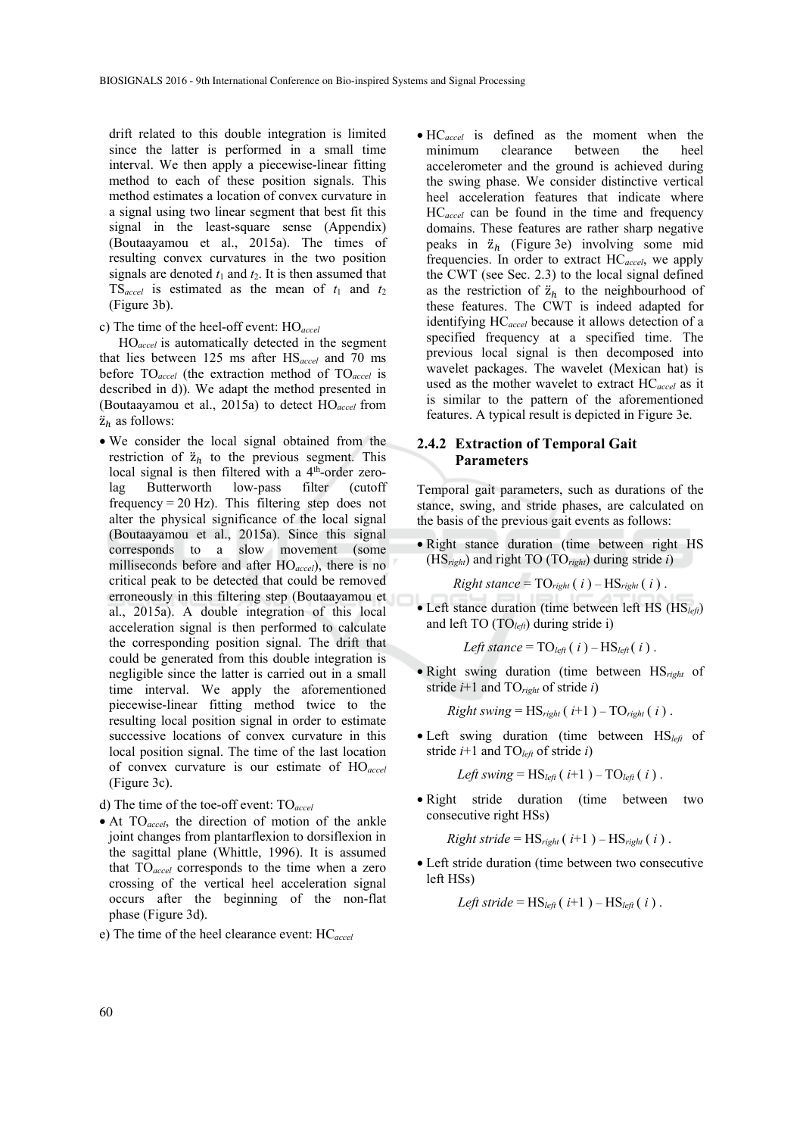drift related to this double integration is limited since the latter is performed in a small time interval. We then apply a piecewise-linear fitting method to each of these position signals. This method estimates a location of convex curvature in a signal using two linear segment that best fit this signal in the least-square sense (Appendix) (Boutaayamou et al., 2015a). The times of resulting convex curvatures in the two position signals are denoted  $t_1$  and  $t_2$ . It is then assumed that TS<sub>accel</sub> is estimated as the mean of  $t_1$  and  $t_2$ (Figure 3b).

c) The time of the heel-off event: HO*accel*

HO*accel* is automatically detected in the segment that lies between 125 ms after HS*accel* and 70 ms before TO*accel* (the extraction method of TO*accel* is described in d)). We adapt the method presented in (Boutaayamou et al., 2015a) to detect HO*accel* from  $\ddot{\mathbf{z}}_h$  as follows:

• We consider the local signal obtained from the restriction of  $\ddot{z}_h$  to the previous segment. This local signal is then filtered with a  $4<sup>th</sup>$ -order zerolag Butterworth low-pass filter (cutoff frequency =  $20$  Hz). This filtering step does not alter the physical significance of the local signal (Boutaayamou et al., 2015a). Since this signal corresponds to a slow movement (some milliseconds before and after HO*accel*), there is no critical peak to be detected that could be removed erroneously in this filtering step (Boutaayamou et al., 2015a). A double integration of this local acceleration signal is then performed to calculate the corresponding position signal. The drift that could be generated from this double integration is negligible since the latter is carried out in a small time interval. We apply the aforementioned piecewise-linear fitting method twice to the resulting local position signal in order to estimate successive locations of convex curvature in this local position signal. The time of the last location of convex curvature is our estimate of HO*accel* (Figure 3c).

d) The time of the toe-off event: TO*accel*

- At TO*accel*, the direction of motion of the ankle joint changes from plantarflexion to dorsiflexion in the sagittal plane (Whittle, 1996). It is assumed that TO*accel* corresponds to the time when a zero crossing of the vertical heel acceleration signal occurs after the beginning of the non-flat phase (Figure 3d).
- e) The time of the heel clearance event: HC*accel*

• HC*accel* is defined as the moment when the minimum clearance between the heel accelerometer and the ground is achieved during the swing phase. We consider distinctive vertical heel acceleration features that indicate where HC*accel* can be found in the time and frequency domains. These features are rather sharp negative peaks in  $\ddot{z}_h$  (Figure 3e) involving some mid frequencies. In order to extract HC*accel*, we apply the CWT (see Sec. 2.3) to the local signal defined as the restriction of  $\ddot{z}_h$  to the neighbourhood of these features. The CWT is indeed adapted for identifying HC*accel* because it allows detection of a specified frequency at a specified time. The previous local signal is then decomposed into wavelet packages. The wavelet (Mexican hat) is used as the mother wavelet to extract HC*accel* as it is similar to the pattern of the aforementioned features. A typical result is depicted in Figure 3e.

#### **2.4.2 Extraction of Temporal Gait Parameters**

Temporal gait parameters, such as durations of the stance, swing, and stride phases, are calculated on the basis of the previous gait events as follows:

• Right stance duration (time between right HS (HS*right*) and right TO (TO*right*) during stride *i*)

Right *stance* = 
$$
TO_{right}(i) - HS_{right}(i)
$$
.

• Left stance duration (time between left HS (HS*left*) and left TO (TO*left*) during stride i)

*Left stance* = 
$$
TO_{\text{left}}(i) - HS_{\text{left}}(i)
$$
.

• Right swing duration (time between HS*right* of stride *i*+1 and TO*right* of stride *i*)

 $Right \, swing = HS_{right}( i+1) - TO_{right}( i)$ .

• Left swing duration (time between HS*left* of stride  $i+1$  and  $TO<sub>left</sub>$  of stride  $i$ )

Left swing = 
$$
HS_{left}(i+1) - TO_{left}(i)
$$
.

• Right stride duration (time between two consecutive right HSs)

 $Right\, stride = HS_{right}( i+1) - HS_{right}( i)$ .

• Left stride duration (time between two consecutive left HSs)

Left stride = 
$$
HS_{left}(i+1) - HS_{left}(i)
$$
.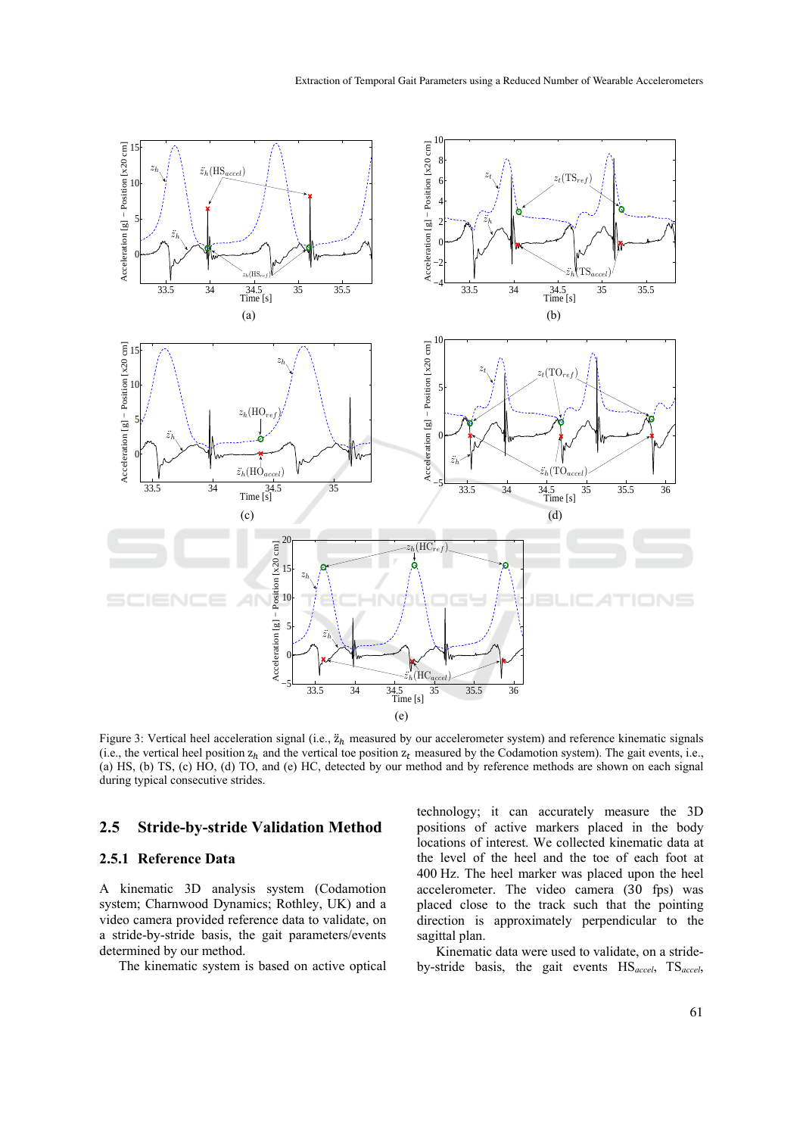

Figure 3: Vertical heel acceleration signal (i.e.,  $\ddot{z}_h$  measured by our accelerometer system) and reference kinematic signals (i.e., the vertical heel position  $z_h$  and the vertical toe position  $z_t$  measured by the Codamotion system). The gait events, i.e., (a) HS, (b) TS, (c) HO, (d) TO, and (e) HC, detected by our method and by reference methods are shown on each signal during typical consecutive strides.

### **2.5 Stride-by-stride Validation Method**

#### **2.5.1 Reference Data**

A kinematic 3D analysis system (Codamotion system; Charnwood Dynamics; Rothley, UK) and a video camera provided reference data to validate, on a stride-by-stride basis, the gait parameters/events determined by our method.

The kinematic system is based on active optical

technology; it can accurately measure the 3D positions of active markers placed in the body locations of interest. We collected kinematic data at the level of the heel and the toe of each foot at 400 Hz. The heel marker was placed upon the heel accelerometer. The video camera (30 fps) was placed close to the track such that the pointing direction is approximately perpendicular to the sagittal plan.

Kinematic data were used to validate, on a strideby-stride basis, the gait events HS*accel*, TS*accel*,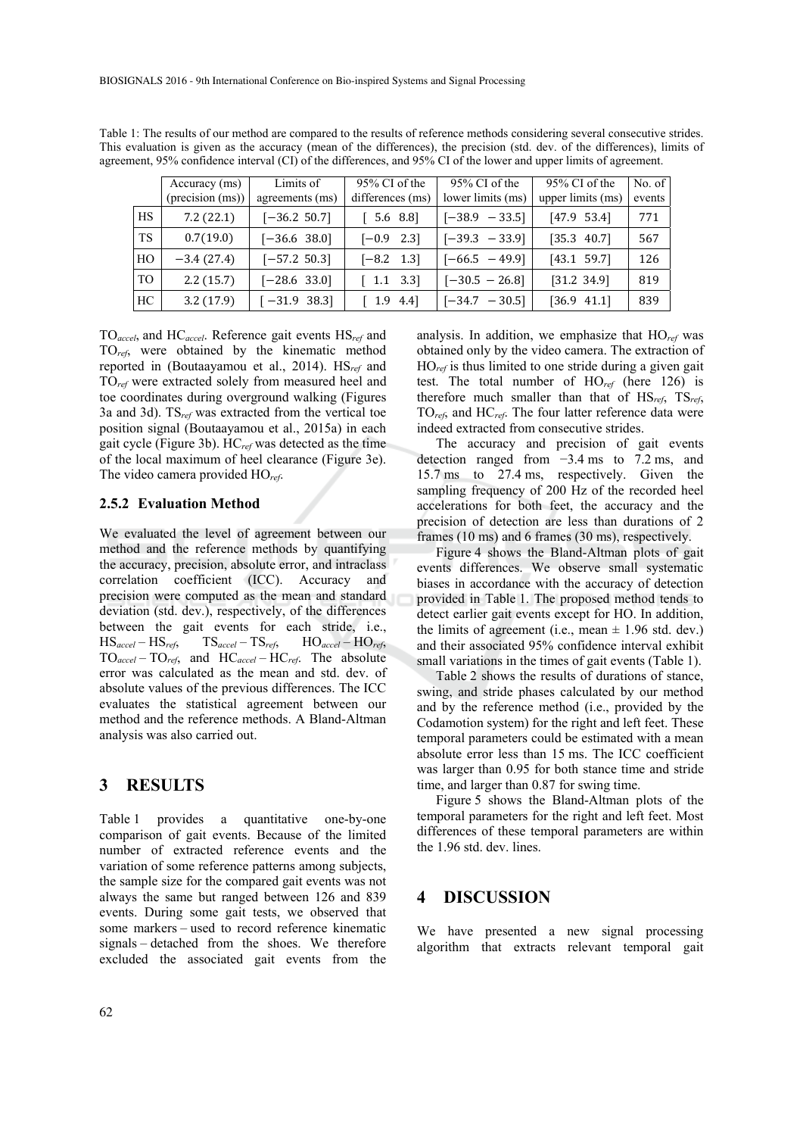|           | Accuracy (ms)<br>(precision (ms)) | Limits of<br>agreements (ms) | $95\%$ CI of the<br>differences (ms)      | $95\%$ CI of the<br>lower limits (ms) | $95\%$ CI of the<br>upper limits (ms) | No. of<br>events |
|-----------|-----------------------------------|------------------------------|-------------------------------------------|---------------------------------------|---------------------------------------|------------------|
| <b>HS</b> | 7.2(22.1)                         | $[-36.2, 50.7]$              | 5.6 8.8]                                  | $[-38.9 - 33.5]$                      | $[47.9 \t53.4]$                       | 771              |
| TS.       | 0.7(19.0)                         | $[-36.6 \ 38.0]$             | $[-0.9 \ 2.3]$                            | $[-39.3 - 33.9]$                      | $[35.3 \ 40.7]$                       | 567              |
| HO        | $-3.4(27.4)$                      | $[-57.2, 50.3]$              | $[-8.2 \quad 1.3]$                        | $[-66.5 - 49.9]$                      | $[43.1 \t59.7]$                       | 126              |
| TO        | 2.2(15.7)                         | $[-28.6 \ 33.0]$             | $\begin{bmatrix} 1.1 & 3.3 \end{bmatrix}$ | $[-30.5 - 26.8]$                      | [31.2 34.9]                           | 819              |
| HC        | 3.2(17.9)                         | $[-31.9 \ 38.3]$             | $1.9$ 4.4]                                | $[-34.7 - 30.5]$                      | $[36.9 \t 41.1]$                      | 839              |

Table 1: The results of our method are compared to the results of reference methods considering several consecutive strides. This evaluation is given as the accuracy (mean of the differences), the precision (std. dev. of the differences), limits of agreement, 95% confidence interval (CI) of the differences, and 95% CI of the lower and upper limits of agreement.

TO*accel*, and HC*accel*. Reference gait events HS*ref* and TO*ref*, were obtained by the kinematic method reported in (Boutaayamou et al., 2014). HS*ref* and TO*ref* were extracted solely from measured heel and toe coordinates during overground walking (Figures 3a and 3d). TS*ref* was extracted from the vertical toe position signal (Boutaayamou et al., 2015a) in each gait cycle (Figure 3b). HC*ref* was detected as the time of the local maximum of heel clearance (Figure 3e). The video camera provided HO*ref*.

#### **2.5.2 Evaluation Method**

We evaluated the level of agreement between our method and the reference methods by quantifying the accuracy, precision, absolute error, and intraclass correlation coefficient (ICC). Accuracy and precision were computed as the mean and standard deviation (std. dev.), respectively, of the differences between the gait events for each stride, i.e., HS*accel* – HS*ref*, TS*accel* – TS*ref*, HO*accel* – HO*ref*, TO*accel* – TO*ref*, and HC*accel* – HC*ref*. The absolute error was calculated as the mean and std. dev. of absolute values of the previous differences. The ICC evaluates the statistical agreement between our method and the reference methods. A Bland-Altman analysis was also carried out.

### **3 RESULTS**

Table 1 provides a quantitative one-by-one comparison of gait events. Because of the limited number of extracted reference events and the variation of some reference patterns among subjects, the sample size for the compared gait events was not always the same but ranged between 126 and 839 events. During some gait tests, we observed that some markers – used to record reference kinematic signals – detached from the shoes. We therefore excluded the associated gait events from the

analysis. In addition, we emphasize that HO*ref* was obtained only by the video camera. The extraction of HO*ref* is thus limited to one stride during a given gait test. The total number of HO*ref* (here 126) is therefore much smaller than that of HS*ref*, TS*ref*, TO*ref*, and HC*ref*. The four latter reference data were indeed extracted from consecutive strides.

The accuracy and precision of gait events detection ranged from −3.4 ms to 7.2 ms, and 15.7 ms to 27.4 ms, respectively. Given the sampling frequency of 200 Hz of the recorded heel accelerations for both feet, the accuracy and the precision of detection are less than durations of 2 frames (10 ms) and 6 frames (30 ms), respectively.

Figure 4 shows the Bland-Altman plots of gait events differences. We observe small systematic biases in accordance with the accuracy of detection provided in Table 1. The proposed method tends to detect earlier gait events except for HO. In addition, the limits of agreement (i.e., mean  $\pm$  1.96 std. dev.) and their associated 95% confidence interval exhibit small variations in the times of gait events (Table 1).

Table 2 shows the results of durations of stance, swing, and stride phases calculated by our method and by the reference method (i.e., provided by the Codamotion system) for the right and left feet. These temporal parameters could be estimated with a mean absolute error less than 15 ms. The ICC coefficient was larger than 0.95 for both stance time and stride time, and larger than 0.87 for swing time.

Figure 5 shows the Bland-Altman plots of the temporal parameters for the right and left feet. Most differences of these temporal parameters are within the 1.96 std. dev. lines.

#### **4 DISCUSSION**

We have presented a new signal processing algorithm that extracts relevant temporal gait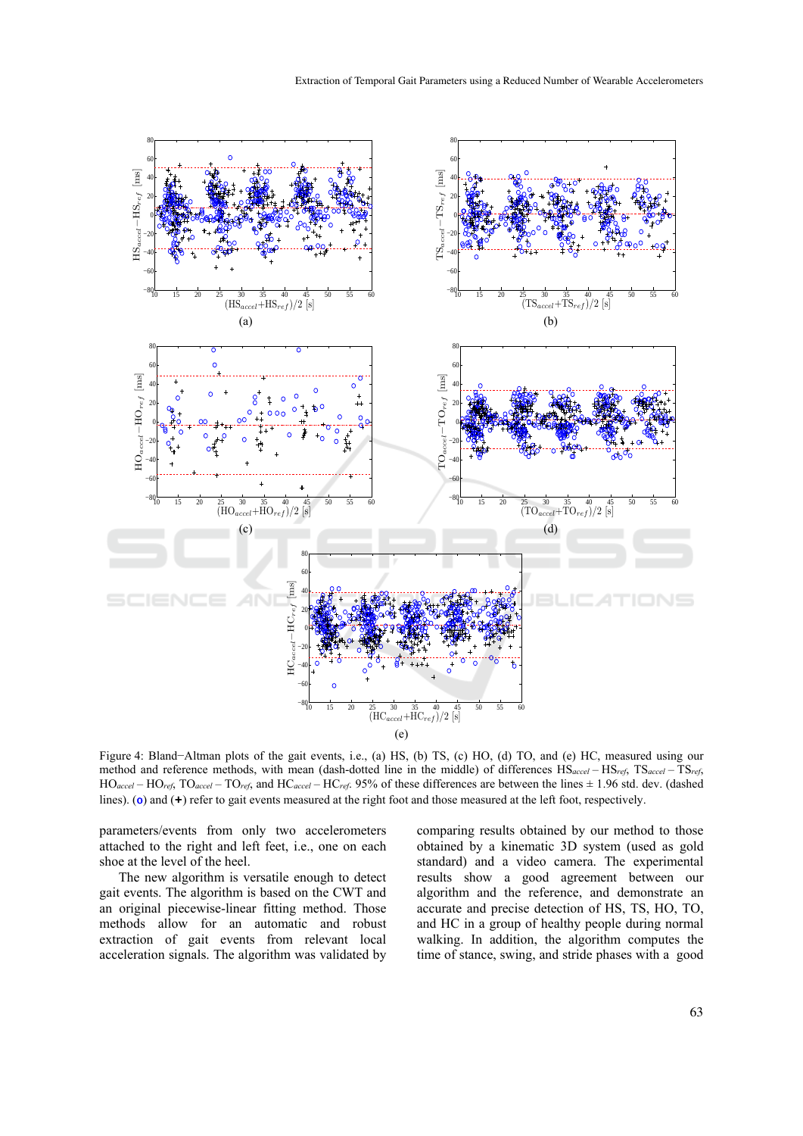

Figure 4: Bland−Altman plots of the gait events, i.e., (a) HS, (b) TS, (c) HO, (d) TO, and (e) HC, measured using our method and reference methods, with mean (dash-dotted line in the middle) of differences HS*accel* – HS*ref*, TS*accel* – TS*ref*, HO*accel* – HO*ref*, TO*accel* – TO*ref*, and HC*accel* – HC*ref*. 95% of these differences are between the lines ± 1.96 std. dev. (dashed lines). (o) and (+) refer to gait events measured at the right foot and those measured at the left foot, respectively.

parameters/events from only two accelerometers attached to the right and left feet, i.e., one on each shoe at the level of the heel.

The new algorithm is versatile enough to detect gait events. The algorithm is based on the CWT and an original piecewise-linear fitting method. Those methods allow for an automatic and robust extraction of gait events from relevant local acceleration signals. The algorithm was validated by comparing results obtained by our method to those obtained by a kinematic 3D system (used as gold standard) and a video camera. The experimental results show a good agreement between our algorithm and the reference, and demonstrate an accurate and precise detection of HS, TS, HO, TO, and HC in a group of healthy people during normal walking. In addition, the algorithm computes the time of stance, swing, and stride phases with a good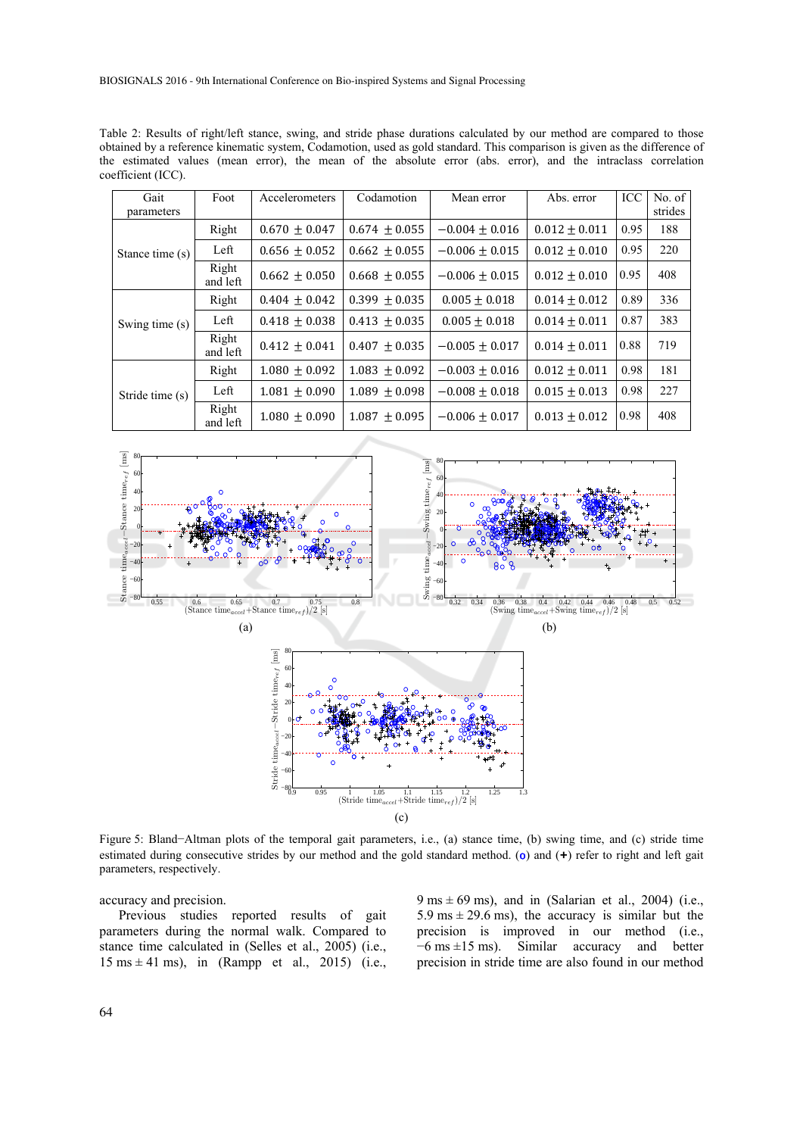BIOSIGNALS 2016 - 9th International Conference on Bio-inspired Systems and Signal Processing

Table 2: Results of right/left stance, swing, and stride phase durations calculated by our method are compared to those obtained by a reference kinematic system, Codamotion, used as gold standard. This comparison is given as the difference of the estimated values (mean error), the mean of the absolute error (abs. error), and the intraclass correlation coefficient (ICC).

| Gait            | Foot              | Accelerometers    | Codamotion        | Mean error         | Abs. error        | ICC  | No. of  |
|-----------------|-------------------|-------------------|-------------------|--------------------|-------------------|------|---------|
| parameters      |                   |                   |                   |                    |                   |      | strides |
|                 | Right             | $0.670 \pm 0.047$ | $0.674 \pm 0.055$ | $-0.004 \pm 0.016$ | $0.012 \pm 0.011$ | 0.95 | 188     |
| Stance time (s) | Left              | $0.656 \pm 0.052$ | $0.662 \pm 0.055$ | $-0.006 \pm 0.015$ | $0.012 \pm 0.010$ | 0.95 | 220     |
|                 | Right<br>and left | $0.662 \pm 0.050$ | $0.668 \pm 0.055$ | $-0.006 \pm 0.015$ | $0.012 \pm 0.010$ | 0.95 | 408     |
|                 | Right             | $0.404 \pm 0.042$ | $0.399 \pm 0.035$ | $0.005 \pm 0.018$  | $0.014 \pm 0.012$ | 0.89 | 336     |
| Swing time (s)  | Left              | $0.418 \pm 0.038$ | $0.413 + 0.035$   | $0.005 + 0.018$    | $0.014 \pm 0.011$ | 0.87 | 383     |
|                 | Right<br>and left | $0.412 \pm 0.041$ | $0.407 + 0.035$   | $-0.005 \pm 0.017$ | $0.014 \pm 0.011$ | 0.88 | 719     |
|                 | Right             | $1.080 \pm 0.092$ | $1.083 \pm 0.092$ | $-0.003 \pm 0.016$ | $0.012 \pm 0.011$ | 0.98 | 181     |
| Stride time (s) | Left              | $1.081 \pm 0.090$ | $1.089 \pm 0.098$ | $-0.008 \pm 0.018$ | $0.015 \pm 0.013$ | 0.98 | 227     |
|                 | Right<br>and left | $1.080 + 0.090$   | $1.087 + 0.095$   | $-0.006 \pm 0.017$ | $0.013 + 0.012$   | 0.98 | 408     |



Figure 5: Bland−Altman plots of the temporal gait parameters, i.e., (a) stance time, (b) swing time, and (c) stride time estimated during consecutive strides by our method and the gold standard method. (o) and (**+**) refer to right and left gait parameters, respectively.

accuracy and precision.

Previous studies reported results of gait parameters during the normal walk. Compared to stance time calculated in (Selles et al., 2005) (i.e.,  $15 \text{ ms} \pm 41 \text{ ms}$ , in (Rampp et al., 2015) (i.e.,

 $9 \text{ ms} \pm 69 \text{ ms}$ ), and in (Salarian et al., 2004) (i.e., 5.9 ms  $\pm$  29.6 ms), the accuracy is similar but the precision is improved in our method (i.e., −6 ms ±15 ms). Similar accuracy and better precision in stride time are also found in our method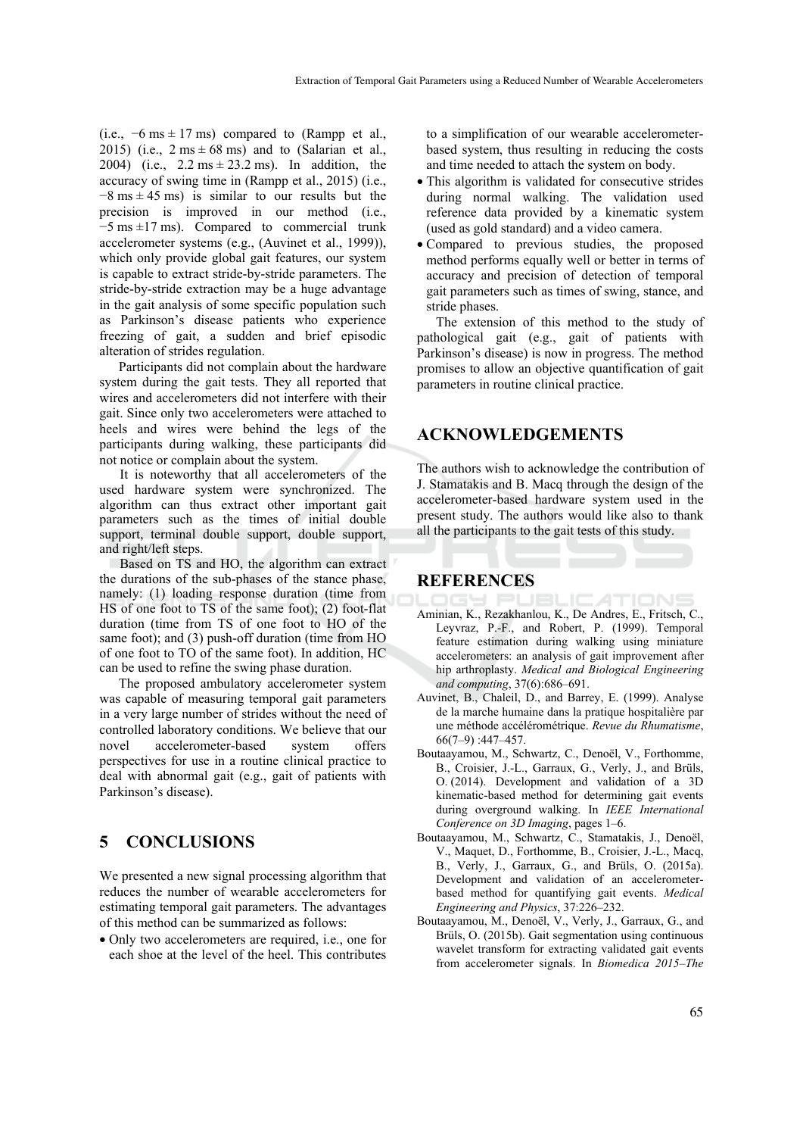(i.e.,  $-6 \text{ ms} \pm 17 \text{ ms}$ ) compared to (Rampp et al., 2015) (i.e.,  $2 \text{ ms} \pm 68 \text{ ms}$ ) and to (Salarian et al., 2004) (i.e.,  $2.2 \text{ ms} \pm 23.2 \text{ ms}$ ). In addition, the accuracy of swing time in (Rampp et al., 2015) (i.e.,  $-8$  ms  $\pm$  45 ms) is similar to our results but the precision is improved in our method (i.e., −5 ms ±17 ms). Compared to commercial trunk accelerometer systems (e.g., (Auvinet et al., 1999)), which only provide global gait features, our system is capable to extract stride-by-stride parameters. The stride-by-stride extraction may be a huge advantage in the gait analysis of some specific population such as Parkinson's disease patients who experience freezing of gait, a sudden and brief episodic alteration of strides regulation.

Participants did not complain about the hardware system during the gait tests. They all reported that wires and accelerometers did not interfere with their gait. Since only two accelerometers were attached to heels and wires were behind the legs of the participants during walking, these participants did not notice or complain about the system.

It is noteworthy that all accelerometers of the used hardware system were synchronized. The algorithm can thus extract other important gait parameters such as the times of initial double support, terminal double support, double support, and right/left steps.

Based on TS and HO, the algorithm can extract the durations of the sub-phases of the stance phase, namely: (1) loading response duration (time from HS of one foot to TS of the same foot); (2) foot-flat duration (time from TS of one foot to HO of the same foot); and (3) push-off duration (time from HO of one foot to TO of the same foot). In addition, HC can be used to refine the swing phase duration.

The proposed ambulatory accelerometer system was capable of measuring temporal gait parameters in a very large number of strides without the need of controlled laboratory conditions. We believe that our novel accelerometer-based system offers perspectives for use in a routine clinical practice to deal with abnormal gait (e.g., gait of patients with Parkinson's disease).

## **5 CONCLUSIONS**

We presented a new signal processing algorithm that reduces the number of wearable accelerometers for estimating temporal gait parameters. The advantages of this method can be summarized as follows:

• Only two accelerometers are required, i.e., one for each shoe at the level of the heel. This contributes

to a simplification of our wearable accelerometerbased system, thus resulting in reducing the costs and time needed to attach the system on body.

- This algorithm is validated for consecutive strides during normal walking. The validation used reference data provided by a kinematic system (used as gold standard) and a video camera.
- Compared to previous studies, the proposed method performs equally well or better in terms of accuracy and precision of detection of temporal gait parameters such as times of swing, stance, and stride phases.

The extension of this method to the study of pathological gait (e.g., gait of patients with Parkinson's disease) is now in progress. The method promises to allow an objective quantification of gait parameters in routine clinical practice.

### **ACKNOWLEDGEMENTS**

The authors wish to acknowledge the contribution of J. Stamatakis and B. Macq through the design of the accelerometer-based hardware system used in the present study. The authors would like also to thank all the participants to the gait tests of this study.

### **REFERENCES**

- Aminian, K., Rezakhanlou, K., De Andres, E., Fritsch, C., TIONS Leyvraz, P.-F., and Robert, P. (1999). Temporal feature estimation during walking using miniature accelerometers: an analysis of gait improvement after hip arthroplasty. *Medical and Biological Engineering and computing*, 37(6):686–691.
- Auvinet, B., Chaleil, D., and Barrey, E. (1999). Analyse de la marche humaine dans la pratique hospitalière par une méthode accélérométrique. *Revue du Rhumatisme*, 66(7–9) :447–457.
- Boutaayamou, M., Schwartz, C., Denoël, V., Forthomme, B., Croisier, J.-L., Garraux, G., Verly, J., and Brüls, O. (2014). Development and validation of a 3D kinematic-based method for determining gait events during overground walking. In *IEEE International Conference on 3D Imaging*, pages 1–6.
- Boutaayamou, M., Schwartz, C., Stamatakis, J., Denoël, V., Maquet, D., Forthomme, B., Croisier, J.-L., Macq, B., Verly, J., Garraux, G., and Brüls, O. (2015a). Development and validation of an accelerometerbased method for quantifying gait events. *Medical Engineering and Physics*, 37:226–232.
- Boutaayamou, M., Denoël, V., Verly, J., Garraux, G., and Brüls, O. (2015b). Gait segmentation using continuous wavelet transform for extracting validated gait events from accelerometer signals. In *Biomedica 2015*–*The*